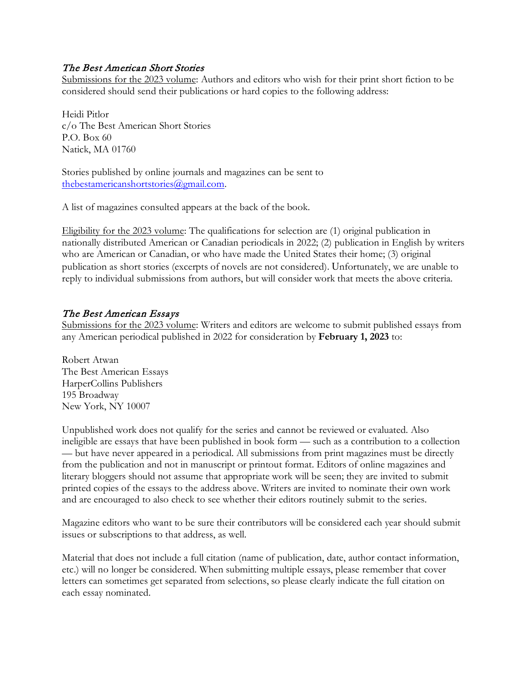### The Best American Short Stories

Submissions for the 2023 volume: Authors and editors who wish for their print short fiction to be considered should send their publications or hard copies to the following address:

Heidi Pitlor c/o The Best American Short Stories P.O. Box 60 Natick, MA 01760

Stories published by online journals and magazines can be sent to [thebestamericanshortstories@gmail.com.](mailto:thebestamericanshortstories@gmail.com)

A list of magazines consulted appears at the back of the book.

Eligibility for the 2023 volume: The qualifications for selection are (1) original publication in nationally distributed American or Canadian periodicals in 2022; (2) publication in English by writers who are American or Canadian, or who have made the United States their home; (3) original publication as short stories (excerpts of novels are not considered). Unfortunately, we are unable to reply to individual submissions from authors, but will consider work that meets the above criteria.

### The Best American Essays

Submissions for the 2023 volume: Writers and editors are welcome to submit published essays from any American periodical published in 2022 for consideration by **February 1, 2023** to:

Robert Atwan The Best American Essays HarperCollins Publishers 195 Broadway New York, NY 10007

Unpublished work does not qualify for the series and cannot be reviewed or evaluated. Also ineligible are essays that have been published in book form — such as a contribution to a collection — but have never appeared in a periodical. All submissions from print magazines must be directly from the publication and not in manuscript or printout format. Editors of online magazines and literary bloggers should not assume that appropriate work will be seen; they are invited to submit printed copies of the essays to the address above. Writers are invited to nominate their own work and are encouraged to also check to see whether their editors routinely submit to the series.

Magazine editors who want to be sure their contributors will be considered each year should submit issues or subscriptions to that address, as well.

Material that does not include a full citation (name of publication, date, author contact information, etc.) will no longer be considered. When submitting multiple essays, please remember that cover letters can sometimes get separated from selections, so please clearly indicate the full citation on each essay nominated.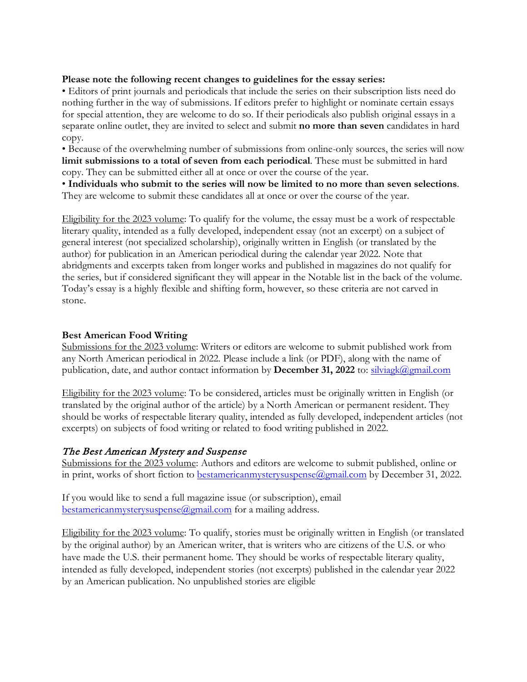#### **Please note the following recent changes to guidelines for the essay series:**

• Editors of print journals and periodicals that include the series on their subscription lists need do nothing further in the way of submissions. If editors prefer to highlight or nominate certain essays for special attention, they are welcome to do so. If their periodicals also publish original essays in a separate online outlet, they are invited to select and submit **no more than seven** candidates in hard copy.

• Because of the overwhelming number of submissions from online-only sources, the series will now **limit submissions to a total of seven from each periodical**. These must be submitted in hard copy. They can be submitted either all at once or over the course of the year.

• **Individuals who submit to the series will now be limited to no more than seven selections**. They are welcome to submit these candidates all at once or over the course of the year.

Eligibility for the 2023 volume: To qualify for the volume, the essay must be a work of respectable literary quality, intended as a fully developed, independent essay (not an excerpt) on a subject of general interest (not specialized scholarship), originally written in English (or translated by the author) for publication in an American periodical during the calendar year 2022. Note that abridgments and excerpts taken from longer works and published in magazines do not qualify for the series, but if considered significant they will appear in the Notable list in the back of the volume. Today's essay is a highly flexible and shifting form, however, so these criteria are not carved in stone.

#### **Best American Food Writing**

Submissions for the 2023 volume: Writers or editors are welcome to submit published work from any North American periodical in 2022. Please include a link (or PDF), along with the name of publication, date, and author contact information by **December 31, 2022** to: [silviagk@gmail.com](mailto:silviagk@gmail.com)

Eligibility for the 2023 volume: To be considered, articles must be originally written in English (or translated by the original author of the article) by a North American or permanent resident. They should be works of respectable literary quality, intended as fully developed, independent articles (not excerpts) on subjects of food writing or related to food writing published in 2022.

# The Best American Mystery and Suspense

Submissions for the 2023 volume: Authors and editors are welcome to submit published, online or in print, works of short fiction to [bestamericanmysterysuspense@gmail.com](mailto:bestamericanmysterysuspense@gmail.com) by December 31, 2022.

If you would like to send a full magazine issue (or subscription), email [bestamericanmysterysuspense@gmail.com](mailto:bestamericanmysterysuspense@gmail.com) for a mailing address.

Eligibility for the 2023 volume: To qualify, stories must be originally written in English (or translated by the original author) by an American writer, that is writers who are citizens of the U.S. or who have made the U.S. their permanent home. They should be works of respectable literary quality, intended as fully developed, independent stories (not excerpts) published in the calendar year 2022 by an American publication. No unpublished stories are eligible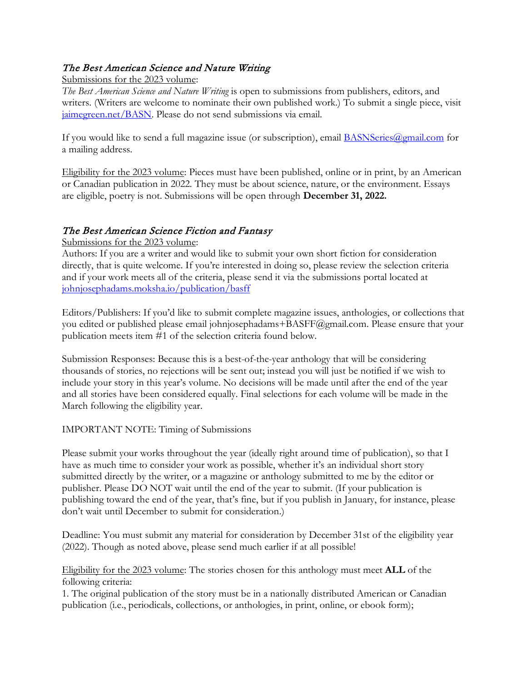# The Best American Science and Nature Writing

Submissions for the 2023 volume:

*The Best American Science and Nature Writing* is open to submissions from publishers, editors, and writers. (Writers are welcome to nominate their own published work.) To submit a single piece, visit [jaimegreen.net/BASN.](https://protect-us.mimecast.com/s/FZ3ECjRvJATZ26N5I7eDV3) Please do not send submissions via email.

If you would like to send a full magazine issue (or subscription), email **BASNSeries**@gmail.com for a mailing address.

Eligibility for the 2023 volume: Pieces must have been published, online or in print, by an American or Canadian publication in 2022. They must be about science, nature, or the environment. Essays are eligible, poetry is not. Submissions will be open through **December 31, 2022.**

# The Best American Science Fiction and Fantasy

Submissions for the 2023 volume:

Authors: If you are a writer and would like to submit your own short fiction for consideration directly, that is quite welcome. If you're interested in doing so, please review the selection criteria and if your work meets all of the criteria, please send it via the submissions portal located at [johnjosephadams.moksha.io/publication/basff](https://adamant.moksha.io/publication/basff)

Editors/Publishers: If you'd like to submit complete magazine issues, anthologies, or collections that you edited or published please email johnjosephadams+BASFF@gmail.com. Please ensure that your publication meets item #1 of the selection criteria found below.

Submission Responses: Because this is a best-of-the-year anthology that will be considering thousands of stories, no rejections will be sent out; instead you will just be notified if we wish to include your story in this year's volume. No decisions will be made until after the end of the year and all stories have been considered equally. Final selections for each volume will be made in the March following the eligibility year.

# IMPORTANT NOTE: Timing of Submissions

Please submit your works throughout the year (ideally right around time of publication), so that I have as much time to consider your work as possible, whether it's an individual short story submitted directly by the writer, or a magazine or anthology submitted to me by the editor or publisher. Please DO NOT wait until the end of the year to submit. (If your publication is publishing toward the end of the year, that's fine, but if you publish in January, for instance, please don't wait until December to submit for consideration.)

Deadline: You must submit any material for consideration by December 31st of the eligibility year (2022). Though as noted above, please send much earlier if at all possible!

Eligibility for the 2023 volume: The stories chosen for this anthology must meet **ALL** of the following criteria:

1. The original publication of the story must be in a nationally distributed American or Canadian publication (i.e., periodicals, collections, or anthologies, in print, online, or ebook form);